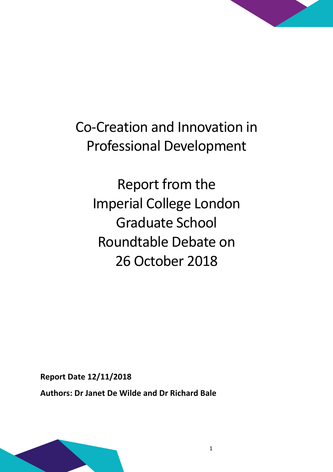

Report from the Imperial College London Graduate School Roundtable Debate on 26 October 2018

Report Date 12/11/2018

Authors: Dr Janet De Wilde and Dr Richard Bale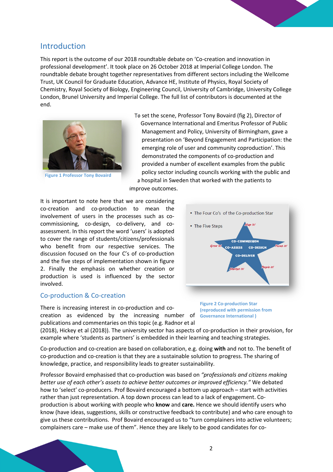# Introduction

This report is the outcome of our 2018 roundtable debate on 'Co-creation and innovation in professional development'. It took place on 26 October 2018 at Imperial College London. The roundtable debate brought together representatives from different sectors including the Wellcome Trust, UK Council for Graduate Education, Advance HE, Institute of Physics, Royal Society of Chemistry, Royal Society of Biology, Engineering Council, University of Cambridge, University College London, Brunel University and Imperial College. The full list of contributors is documented at the end.



Figure 1 Professor Tony Bovaird

To set the scene, Professor Tony Bovaird (fig 2), Director of Governance International and Emeritus Professor of Public Management and Policy, University of Birmingham, gave a presentation on 'Beyond Engagement and Participation: the emerging role of user and community coproduction'. This demonstrated the components of co-production and provided a number of excellent examples from the public policy sector including councils working with the public and a hospital in Sweden that worked with the patients to

improve outcomes.

It is important to note here that we are considering co-creation and co-production to mean the involvement of users in the processes such as cocommissioning, co-design, co-delivery, and coassessment. In this report the word 'users' is adopted to cover the range of students/citizens/professionals who benefit from our respective services. The discussion focused on the four C's of co-production and the five steps of implementation shown in figure 2. Finally the emphasis on whether creation or production is used is influenced by the sector involved.

#### Co-production & Co-creation

There is increasing interest in co-production and cocreation as evidenced by the increasing number of Governance International) publications and commentaries on this topic (e.g. Radnor et al



Figure 2 Co-production Star (reproduced with permission from

(2018), Hickey et al (2018)). The university sector has aspects of co-production in their provision, for example where 'students as partners' is embedded in their learning and teaching strategies.

Co-production and co-creation are based on collaboration, e.g. doing with and not to. The benefit of co-production and co-creation is that they are a sustainable solution to progress. The sharing of knowledge, practice, and responsibility leads to greater sustainability.

Professor Bovaird emphasised that co-production was based on "professionals and citizens making better use of each other's assets to achieve better outcomes or improved efficiency." We debated how to 'select' co-producers. Prof Bovaird encouraged a bottom up approach – start with activities rather than just representation. A top down process can lead to a lack of engagement. Coproduction is about working with people who know and care. Hence we should identify users who know (have ideas, suggestions, skills or constructive feedback to contribute) and who care enough to give us these contributions. Prof Bovaird encouraged us to "turn complainers into active volunteers; complainers care – make use of them". Hence they are likely to be good candidates for co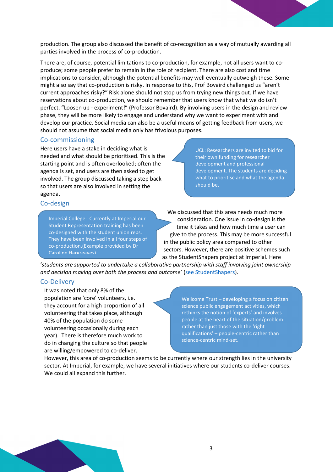production. The group also discussed the benefit of co-recognition as a way of mutually awarding all parties involved in the process of co-production.

There are, of course, potential limitations to co-production, for example, not all users want to coproduce; some people prefer to remain in the role of recipient. There are also cost and time implications to consider, although the potential benefits may well eventually outweigh these. Some might also say that co-production is risky. In response to this, Prof Bovaird challenged us "aren't current approaches risky?" Risk alone should not stop us from trying new things out. If we have reservations about co-production, we should remember that users know that what we do isn't perfect. "Loosen up - experiment!" (Professor Bovaird). By involving users in the design and review phase, they will be more likely to engage and understand why we want to experiment with and develop our practice. Social media can also be a useful means of getting feedback from users, we should not assume that social media only has frivolous purposes.

### Co-commissioning

Here users have a stake in deciding what is needed and what should be prioritised. This is the starting point and is often overlooked; often the agenda is set, and users are then asked to get involved. The group discussed taking a step back so that users are also involved in setting the agenda.

UCL: Researchers are invited to bid for their own funding for researcher development and professional development. The students are deciding what to prioritise and what the agenda should be.

## Co-design

Imperial College: Currently at Imperial our Student Representation training has been co-designed with the student union reps. They have been involved in all four steps of co-production.(Example provided by Dr Caroline Hargreaves)

We discussed that this area needs much more consideration. One issue in co-design is the time it takes and how much time a user can give to the process. This may be more successful in the public policy area compared to other sectors. However, there are positive schemes such as the StudentShapers project at Imperial. Here

'students are supported to undertake a collaborative partnership with staff involving joint ownership and decision making over both the process and outcome' (see StudentShapers).

### Co-Delivery

It was noted that only 8% of the population are 'core' volunteers, i.e. they account for a high proportion of all volunteering that takes place, although 40% of the population do some volunteering occasionally during each year). There is therefore much work to do in changing the culture so that people are willing/empowered to co-deliver.

Wellcome Trust – developing a focus on citizen science public engagement activities, which rethinks the notion of 'experts' and involves people at the heart of the situation/problem rather than just those with the 'right qualifications' – people-centric rather than science-centric mind-set.

However, this area of co-production seems to be currently where our strength lies in the university sector. At Imperial, for example, we have several initiatives where our students co-deliver courses. We could all expand this further.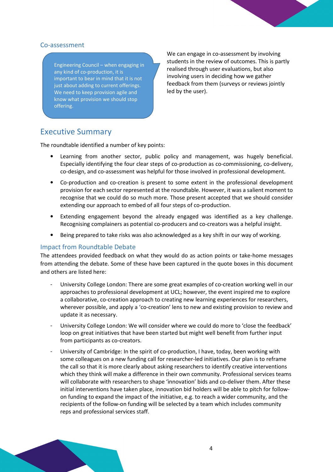## Co-assessment

Engineering Council – when engaging in any kind of co-production, it is important to bear in mind that it is not just about adding to current offerings. We need to keep provision agile and know what provision we should stop offering.

We can engage in co-assessment by involving students in the review of outcomes. This is partly realised through user evaluations, but also involving users in deciding how we gather feedback from them (surveys or reviews jointly led by the user).

# Executive Summary

The roundtable identified a number of key points:

- Learning from another sector, public policy and management, was hugely beneficial. Especially identifying the four clear steps of co-production as co-commissioning, co-delivery, co-design, and co-assessment was helpful for those involved in professional development.
- Co-production and co-creation is present to some extent in the professional development provision for each sector represented at the roundtable. However, it was a salient moment to recognise that we could do so much more. Those present accepted that we should consider extending our approach to embed of all four steps of co-production.
- Extending engagement beyond the already engaged was identified as a key challenge. Recognising complainers as potential co-producers and co-creators was a helpful insight.
- Being prepared to take risks was also acknowledged as a key shift in our way of working.

## Impact from Roundtable Debate

The attendees provided feedback on what they would do as action points or take-home messages from attending the debate. Some of these have been captured in the quote boxes in this document and others are listed here:

- University College London: There are some great examples of co-creation working well in our approaches to professional development at UCL; however, the event inspired me to explore a collaborative, co-creation approach to creating new learning experiences for researchers, wherever possible, and apply a 'co-creation' lens to new and existing provision to review and update it as necessary.
- University College London: We will consider where we could do more to 'close the feedback' loop on great initiatives that have been started but might well benefit from further input from participants as co-creators.
- University of Cambridge: In the spirit of co-production, I have, today, been working with some colleagues on a new funding call for researcher-led initiatives. Our plan is to reframe the call so that it is more clearly about asking researchers to identify creative interventions which they think will make a difference in their own community. Professional services teams will collaborate with researchers to shape 'innovation' bids and co-deliver them. After these initial interventions have taken place, innovation bid holders will be able to pitch for followon funding to expand the impact of the initiative, e.g. to reach a wider community, and the recipients of the follow-on funding will be selected by a team which includes community reps and professional services staff.